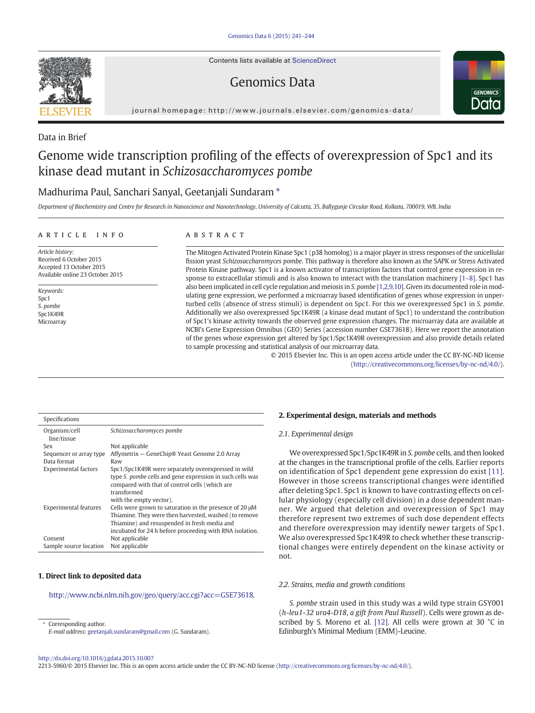Contents lists available at [ScienceDirect](http://www.sciencedirect.com/science/journal/22135960)

## Genomics Data



journal homepage: http://www.journals.elsevier.com/genomics-data/

Data in Brief

# Genome wide transcription profiling of the effects of overexpression of Spc1 and its kinase dead mutant in Schizosaccharomyces pombe

## Madhurima Paul, Sanchari Sanyal, Geetanjali Sundaram  $*$

Department of Biochemistry and Centre for Research in Nanoscience and Nanotechnology, University of Calcutta, 35, Ballygunje Circular Road, Kolkata, 700019, WB, India

#### article info abstract

Article history: Received 6 October 2015 Accepted 13 October 2015 Available online 23 October 2015

Keywords: Spc1 S. pombe Spc1K49R Microarray

The Mitogen Activated Protein Kinase Spc1 (p38 homolog) is a major player in stress responses of the unicellular fission yeast Schizosaccharomyces pombe. This pathway is therefore also known as the SAPK or Stress Activated Protein Kinase pathway. Spc1 is a known activator of transcription factors that control gene expression in re-sponse to extracellular stimuli and is also known to interact with the translation machinery [\[1](#page-3-0)–8]. Spc1 has also been implicated in cell cycle regulation and meiosis in S. pombe [\[1,2,9,10\]](#page-3-0). Given its documented role in modulating gene expression, we performed a microarray based identification of genes whose expression in unperturbed cells (absence of stress stimuli) is dependent on Spc1. For this we overexpressed Spc1 in S. pombe. Additionally we also overexpressed Spc1K49R (a kinase dead mutant of Spc1) to understand the contribution of Spc1's kinase activity towards the observed gene expression changes. The microarray data are available at NCBI's Gene Expression Omnibus (GEO) Series (accession number GSE73618). Here we report the annotation of the genes whose expression get altered by Spc1/Spc1K49R overexpression and also provide details related to sample processing and statistical analysis of our microarray data.

© 2015 Elsevier Inc. This is an open access article under the CC BY-NC-ND license ([http://creativecommons.org/licenses/by-nc-nd/4.0/\)](http://creativecommons.org/licenses/by-nc-nd/4.0/).

| Specifications               |                                                                                                                                                                                                                              |
|------------------------------|------------------------------------------------------------------------------------------------------------------------------------------------------------------------------------------------------------------------------|
| Organism/cell<br>line/tissue | Schizosaccharomyces pombe                                                                                                                                                                                                    |
| Sex                          | Not applicable                                                                                                                                                                                                               |
| Sequencer or array type      | Affymetrix – GeneChip® Yeast Genome 2.0 Array                                                                                                                                                                                |
| Data format                  | Raw                                                                                                                                                                                                                          |
| <b>Experimental factors</b>  | Spc1/Spc1K49R were separately overexpressed in wild<br>type S, pombe cells and gene expression in such cells was<br>compared with that of control cells (which are<br>transformed<br>with the empty vector).                 |
| <b>Experimental features</b> | Cells were grown to saturation in the presence of 20 µM<br>Thiamine. They were then harvested, washed (to remove<br>Thiamine) and resuspended in fresh media and<br>incubated for 24 h before proceeding with RNA isolation. |
| Consent                      | Not applicable                                                                                                                                                                                                               |
| Sample source location       | Not applicable                                                                                                                                                                                                               |

### 1. Direct link to deposited data

[http://www.ncbi.nlm.nih.gov/geo/query/acc.cgi?acc=GSE73618.](http://www.ncbi.nlm.nih.gov/geo/query/acc.cgi?acc=GSE73618)

Corresponding author. E-mail address: [geetanjali.sundaram@gmail.com](mailto:geetanjali.sundaram@gmail.com) (G. Sundaram).

#### 2. Experimental design, materials and methods

#### 2.1. Experimental design

We overexpressed Spc1/Spc1K49R in S. pombe cells, and then looked at the changes in the transcriptional profile of the cells. Earlier reports on identification of Spc1 dependent gene expression do exist [\[11\].](#page-3-0) However in those screens transcriptional changes were identified after deleting Spc1. Spc1 is known to have contrasting effects on cellular physiology (especially cell division) in a dose dependent manner. We argued that deletion and overexpression of Spc1 may therefore represent two extremes of such dose dependent effects and therefore overexpression may identify newer targets of Spc1. We also overexpressed Spc1K49R to check whether these transcriptional changes were entirely dependent on the kinase activity or not.

#### 2.2. Strains, media and growth conditions

S. pombe strain used in this study was a wild type strain GSY001 (h-leu1-32 ura4-D18, a gift from Paul Russell). Cells were grown as described by S. Moreno et al. [\[12\].](#page-3-0) All cells were grown at 30 °C in Edinburgh's Minimal Medium (EMM)-Leucine.

<http://dx.doi.org/10.1016/j.gdata.2015.10.007>

2213-5960/© 2015 Elsevier Inc. This is an open access article under the CC BY-NC-ND license [\(http://creativecommons.org/licenses/by-nc-nd/4.0/\)](http://creativecommons.org/licenses/by-nc-nd/4.0/).

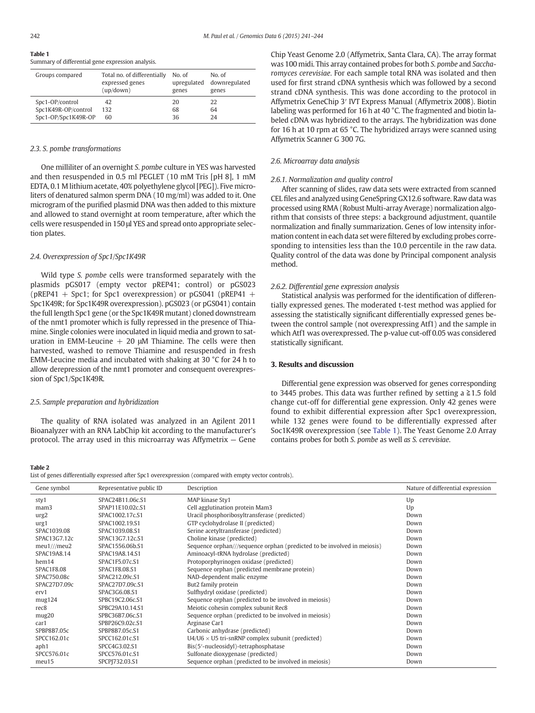<span id="page-1-0"></span>Table 1 Summary of differential gene expression analysis.

| Groups compared     | Total no. of differentially | No. of      | No. of        |
|---------------------|-----------------------------|-------------|---------------|
|                     | expressed genes             | upregulated | downregulated |
|                     | (up / down)                 | genes       | genes         |
| Spc1-OP/control     | 42                          | 20          | 22            |
| Spc1K49R-OP/control | 132                         | 68          | 64            |
| Spc1-OP/Spc1K49R-OP | 60                          | 36          | 24            |

#### 2.3. S. pombe transformations

One milliliter of an overnight S. pombe culture in YES was harvested and then resuspended in 0.5 ml PEGLET (10 mM Tris [pH 8], 1 mM EDTA, 0.1 M lithium acetate, 40% polyethylene glycol [PEG]). Five microliters of denatured salmon sperm DNA (10 mg/ml) was added to it. One microgram of the purified plasmid DNA was then added to this mixture and allowed to stand overnight at room temperature, after which the cells were resuspended in 150 μl YES and spread onto appropriate selection plates.

#### 2.4. Overexpression of Spc1/Spc1K49R

Wild type S. pombe cells were transformed separately with the plasmids pGS017 (empty vector pREP41; control) or pGS023 (pREP41 + Spc1; for Spc1 overexpression) or pGS041 (pREP41 + Spc1K49R; for Spc1K49R overexpression). pGS023 (or pGS041) contain the full length Spc1 gene (or the Spc1K49R mutant) cloned downstream of the nmt1 promoter which is fully repressed in the presence of Thiamine. Single colonies were inoculated in liquid media and grown to saturation in EMM-Leucine  $+$  20  $\mu$ M Thiamine. The cells were then harvested, washed to remove Thiamine and resuspended in fresh EMM-Leucine media and incubated with shaking at 30 °C for 24 h to allow derepression of the nmt1 promoter and consequent overexpression of Spc1/Spc1K49R.

#### 2.5. Sample preparation and hybridization

The quality of RNA isolated was analyzed in an Agilent 2011 Bioanalyzer with an RNA LabChip kit according to the manufacturer's protocol. The array used in this microarray was Affymetrix — Gene Chip Yeast Genome 2.0 (Affymetrix, Santa Clara, CA). The array format was 100 midi. This array contained probes for both S. pombe and Saccharomyces cerevisiae. For each sample total RNA was isolated and then used for first strand cDNA synthesis which was followed by a second strand cDNA synthesis. This was done according to the protocol in Affymetrix GeneChip 3′ IVT Express Manual (Affymetrix 2008). Biotin labeling was performed for 16 h at 40 °C. The fragmented and biotin labeled cDNA was hybridized to the arrays. The hybridization was done for 16 h at 10 rpm at 65 °C. The hybridized arrays were scanned using Affymetrix Scanner G 300 7G.

#### 2.6. Microarray data analysis

#### 2.6.1. Normalization and quality control

After scanning of slides, raw data sets were extracted from scanned CEL files and analyzed using GeneSpring GX12.6 software. Raw data was processed using RMA (Robust Multi-array Average) normalization algorithm that consists of three steps: a background adjustment, quantile normalization and finally summarization. Genes of low intensity information content in each data set were filtered by excluding probes corresponding to intensities less than the 10.0 percentile in the raw data. Quality control of the data was done by Principal component analysis method.

#### 2.6.2. Differential gene expression analysis

Statistical analysis was performed for the identification of differentially expressed genes. The moderated t-test method was applied for assessing the statistically significant differentially expressed genes between the control sample (not overexpressing Atf1) and the sample in which Atf1 was overexpressed. The p-value cut-off 0.05 was considered statistically significant.

### 3. Results and discussion

Differential gene expression was observed for genes corresponding to 3445 probes. This data was further refined by setting a  $\geq 1.5$  fold change cut-off for differential gene expression. Only 42 genes were found to exhibit differential expression after Spc1 overexpression, while 132 genes were found to be differentially expressed after Soc1K49R overexpression (see Table 1). The Yeast Genome 2.0 Array contains probes for both S. pombe as well as S. cerevisiae.

#### Table 2

List of genes differentially expressed after Spc1 overexpression (compared with empty vector controls).

| Gene symbol       | Representative public ID | Description                                                             | Nature of differential expression |
|-------------------|--------------------------|-------------------------------------------------------------------------|-----------------------------------|
| sty1              | SPAC24B11.06c.S1         | MAP kinase Sty1                                                         | Up                                |
| mam3              | SPAP11E10.02c.S1         | Cell agglutination protein Mam3                                         | Up                                |
| urg2              | SPAC1002.17c.S1          | Uracil phosphoribosyltransferase (predicted)                            | Down                              |
| urg1              | SPAC1002.19.S1           | GTP cyclohydrolase II (predicted)                                       | Down                              |
| SPAC1039.08       | SPAC1039.08.S1           | Serine acetyltransferase (predicted)                                    | Down                              |
| SPAC13G7.12c      | SPAC13G7.12c.S1          | Choline kinase (predicted)                                              | Down                              |
| meu1//meu2        | SPAC1556.06b.S1          | Sequence orphan///sequence orphan (predicted to be involved in meiosis) | Down                              |
| SPAC19A8.14       | SPAC19A8.14.S1           | Aminoacyl-tRNA hydrolase (predicted)                                    | Down                              |
| hem14             | SPAC1F5.07c.S1           | Protoporphyrinogen oxidase (predicted)                                  | Down                              |
| <b>SPAC1F8.08</b> | SPAC1F8.08.S1            | Sequence orphan (predicted membrane protein)                            | Down                              |
| SPAC750.08c       | SPAC212.09c.S1           | NAD-dependent malic enzyme                                              | Down                              |
| SPAC27D7.09c      | SPAC27D7.09c.S1          | But2 family protein                                                     | Down                              |
| erv1              | SPAC3G6.08.S1            | Sulfhydryl oxidase (predicted)                                          | Down                              |
| mug124            | SPBC19C2.06c.S1          | Sequence orphan (predicted to be involved in meiosis)                   | Down                              |
| rec8              | SPBC29A10.14.S1          | Meiotic cohesin complex subunit Rec8                                    | Down                              |
| mug20             | SPBC36B7.06c.S1          | Sequence orphan (predicted to be involved in meiosis)                   | Down                              |
| car1              | SPBP26C9.02c.S1          | Arginase Car1                                                           | Down                              |
| SPBP8B7.05c       | SPBP8B7.05c.S1           | Carbonic anhydrase (predicted)                                          | Down                              |
| SPCC162.01c       | SPCC162.01c.S1           | $U4/U6 \times U5$ tri-snRNP complex subunit (predicted)                 | Down                              |
| aph1              | SPCC4G3.02.S1            | Bis(5'-nucleosidyl)-tetraphosphatase                                    | Down                              |
| SPCC576.01c       | SPCC576.01c.S1           | Sulfonate dioxygenase (predicted)                                       | Down                              |
| meu15             | SPCPJ732.03.S1           | Sequence orphan (predicted to be involved in meiosis)                   | Down                              |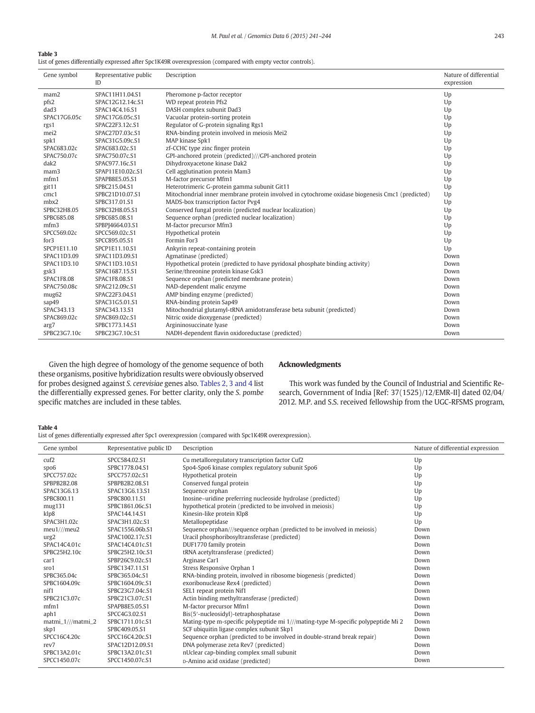#### Table 3

List of genes differentially expressed after Spc1K49R overexpression (compared with empty vector controls).

| Gene symbol       | Representative public<br>ID | Description                                                                                     | Nature of differential<br>expression |
|-------------------|-----------------------------|-------------------------------------------------------------------------------------------------|--------------------------------------|
| mam <sub>2</sub>  | SPAC11H11.04.S1             | Pheromone p-factor receptor                                                                     | Up                                   |
| pfs2              | SPAC12G12.14c.S1            | WD repeat protein Pfs2                                                                          | Up                                   |
| dad3              | SPAC14C4.16.S1              | DASH complex subunit Dad3                                                                       | Up                                   |
| SPAC17G6.05c      | SPAC17G6.05c.S1             | Vacuolar protein-sorting protein                                                                | Up                                   |
| rgs1              | SPAC22F3.12c.S1             | Regulator of G-protein signaling Rgs1                                                           | Up                                   |
| mei2              | SPAC27D7.03c.S1             | RNA-binding protein involved in meiosis Mei2                                                    | Up                                   |
| spk1              | SPAC31G5.09c.S1             | MAP kinase Spk1                                                                                 | Up                                   |
| SPAC683.02c       | SPAC683.02c.S1              | zf-CCHC type zinc finger protein                                                                | Up                                   |
| SPAC750.07c       | SPAC750.07c.S1              | GPI-anchored protein (predicted)///GPI-anchored protein                                         | Up                                   |
| dak2              | SPAC977.16c.S1              | Dihydroxyacetone kinase Dak2                                                                    | Up                                   |
| mam3              | SPAP11E10.02c.S1            | Cell agglutination protein Mam3                                                                 | Up                                   |
| mfm1              | SPAPB8E5.05.S1              | M-factor precursor Mfm1                                                                         | Up                                   |
| $g$ it11          | SPBC215.04.S1               | Heterotrimeric G-protein gamma subunit Git11                                                    | Up                                   |
| cmc1              | SPBC21D10.07.S1             | Mitochondrial inner membrane protein involved in cytochrome oxidase biogenesis Cmc1 (predicted) | Up                                   |
| mbx2              | SPBC317.01.S1               | MADS-box transcription factor Pvg4                                                              | Up                                   |
| SPBC32H8.05       | SPBC32H8.05.S1              | Conserved fungal protein (predicted nuclear localization)                                       | Up                                   |
| SPBC685.08        | SPBC685.08.S1               | Sequence orphan (predicted nuclear localization)                                                | Up                                   |
| mfm3              | SPBPJ4664.03.S1             | M-factor precursor Mfm3                                                                         | Up                                   |
| SPCC569.02c       | SPCC569.02c.S1              | Hypothetical protein                                                                            | Up                                   |
| for 3             | SPCC895.05.S1               | Formin For3                                                                                     | Up                                   |
| SPCP1E11.10       | SPCP1E11.10.S1              | Ankyrin repeat-containing protein                                                               | Up                                   |
| SPAC11D3.09       | SPAC11D3.09.S1              | Agmatinase (predicted)                                                                          | Down                                 |
| SPAC11D3.10       | SPAC11D3.10.S1              | Hypothetical protein (predicted to have pyridoxal phosphate binding activity)                   | Down                                 |
| gsk3              | SPAC1687.15.S1              | Serine/threonine protein kinase Gsk3                                                            | Down                                 |
| <b>SPAC1F8.08</b> | SPAC1F8.08.S1               | Sequence orphan (predicted membrane protein)                                                    | Down                                 |
| SPAC750.08c       | SPAC212.09c.S1              | NAD-dependent malic enzyme                                                                      | Down                                 |
| mug <sub>62</sub> | SPAC22F3.04.S1              | AMP binding enzyme (predicted)                                                                  | Down                                 |
| sap49             | SPAC31G5.01.S1              | RNA-binding protein Sap49                                                                       | Down                                 |
| SPAC343.13        | SPAC343.13.S1               | Mitochondrial glutamyl-tRNA amidotransferase beta subunit (predicted)                           | Down                                 |
| SPAC869.02c       | SPAC869.02c.S1              | Nitric oxide dioxygenase (predicted)                                                            | Down                                 |
| arg7              | SPBC1773.14.S1              | Argininosuccinate lyase                                                                         | Down                                 |
| SPBC23G7.10c      | SPBC23G7.10c.S1             | NADH-dependent flavin oxidoreductase (predicted)                                                | Down                                 |

Given the high degree of homology of the genome sequence of both these organisms, positive hybridization results were obviously observed for probes designed against S. cerevisiae genes also. [Tables 2, 3 and 4](#page-1-0) list the differentially expressed genes. For better clarity, only the S. pombe specific matches are included in these tables.

#### Acknowledgments

This work was funded by the Council of Industrial and Scientific Research, Government of India [Ref: 37(1525)/12/EMR-II] dated 02/04/ 2012. M.P. and S.S. received fellowship from the UGC-RFSMS program,

#### Table 4

List of genes differentially expressed after Spc1 overexpression (compared with Spc1K49R overexpression).

| Gene symbol       | Representative public ID | Description                                                                       | Nature of differential expression |
|-------------------|--------------------------|-----------------------------------------------------------------------------------|-----------------------------------|
| cut2              | SPCC584.02.S1            | Cu metalloregulatory transcription factor Cuf2                                    | Up                                |
| spo <sub>6</sub>  | SPBC1778.04.S1           | Spo4-Spo6 kinase complex regulatory subunit Spo6                                  | Up                                |
| SPCC757.02c       | SPCC757.02c.S1           | Hypothetical protein                                                              | Up                                |
| SPBPB2B2.08       | SPBPB2B2.08.S1           | Conserved fungal protein                                                          | Up                                |
| SPAC13G6.13       | SPAC13G6.13.S1           | Sequence orphan                                                                   | Up                                |
| SPBC800.11        | SPBC800.11.S1            | Inosine-uridine preferring nucleoside hydrolase (predicted)                       | Up                                |
| mug131            | SPBC1861.06c.S1          | hypothetical protein (predicted to be involved in meiosis)                        | Up                                |
| klp8              | SPAC144.14.S1            | Kinesin-like protein Klp8                                                         | Up                                |
| SPAC3H1.02c       | SPAC3H1.02c.S1           | Metallopeptidase                                                                  | Up                                |
| meu1///meu2       | SPAC1556.06b.S1          | Sequence orphan///sequence orphan (predicted to be involved in meiosis)           | Down                              |
| urg2              | SPAC1002.17c.S1          | Uracil phosphoribosyltransferase (predicted)                                      | Down                              |
| SPAC14C4.01c      | SPAC14C4.01c.S1          | DUF1770 family protein                                                            | Down                              |
| SPBC25H2.10c      | SPBC25H2.10c.S1          | tRNA acetyltransferase (predicted)                                                | Down                              |
| car1              | SPBP26C9.02c.S1          | Arginase Car1                                                                     | Down                              |
| sro1              | SPBC1347.11.S1           | Stress Responsive Orphan 1                                                        | Down                              |
| SPBC365.04c       | SPBC365.04c.S1           | RNA-binding protein, involved in ribosome biogenesis (predicted)                  | Down                              |
| SPBC1604.09c      | SPBC1604.09c.S1          | exoribonuclease Rex4 (predicted)                                                  | Down                              |
| nif1              | SPBC23G7.04c.S1          | SEL1 repeat protein Nif1                                                          | Down                              |
| SPBC21C3.07c      | SPBC21C3.07c.S1          | Actin binding methyltransferase (predicted)                                       | Down                              |
| mfm1              | SPAPB8E5.05.S1           | M-factor precursor Mfm1                                                           | Down                              |
| aph1              | SPCC4G3.02.S1            | Bis(5'-nucleosidyl)-tetraphosphatase                                              | Down                              |
| matmi_1///matmi_2 | SPBC1711.01c.S1          | Mating-type m-specific polypeptide mi 1///mating-type M-specific polypeptide Mi 2 | Down                              |
| skp1              | SPBC409.05.S1            | SCF ubiquitin ligase complex subunit Skp1                                         | Down                              |
| SPCC16C4.20c      | SPCC16C4.20c.S1          | Sequence orphan (predicted to be involved in double-strand break repair)          | Down                              |
| rev7              | SPAC12D12.09.S1          | DNA polymerase zeta Rev7 (predicted)                                              | Down                              |
| SPBC13A2.01c      | SPBC13A2.01c.S1          | nUclear cap-binding complex small subunit                                         | Down                              |
| SPCC1450.07c      | SPCC1450.07c.S1          | D-Amino acid oxidase (predicted)                                                  | Down                              |